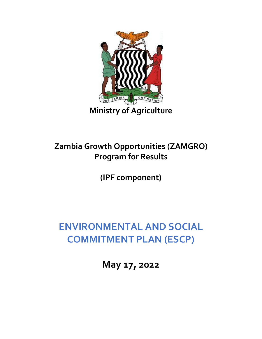

## **Zambia Growth Opportunities (ZAMGRO) Program for Results**

**(IPF component)**

## **ENVIRONMENTAL AND SOCIAL COMMITMENT PLAN (ESCP)**

**May 17, 2022**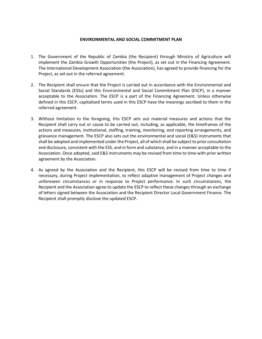## **ENVIRONMENTAL AND SOCIAL COMMITMENT PLAN**

- 1. The Government of the Republic of Zambia (the Recipient) through Ministry of Agriculture will implement the Zambia Growth Opportunities (the Project), as set out in the Financing Agreement. The International Development Association (the Association), has agreed to provide financing for the Project, as set out in the referred agreement.
- 2. The Recipient shall ensure that the Project is carried out in accordance with the Environmental and Social Standards (ESSs) and this Environmental and Social Commitment Plan (ESCP), in a manner acceptable to the Association. The ESCP is a part of the Financing Agreement. Unless otherwise defined in this ESCP, capitalized terms used in this ESCP have the meanings ascribed to them in the referred agreement.
- 3. Without limitation to the foregoing, this ESCP sets out material measures and actions that the Recipient shall carry out or cause to be carried out, including, as applicable, the timeframes of the actions and measures, institutional, staffing, training, monitoring, and reporting arrangements, and grievance management. The ESCP also sets out the environmental and social (E&S) instruments that shall be adopted and implemented under the Project, all of which shall be subject to prior consultation and disclosure, consistent with the ESS, and in form and substance, and in a manner acceptable to the Association. Once adopted, said E&S instruments may be revised from time to time with prior written agreement by the Association.
- 4. As agreed by the Association and the Recipient, this ESCP will be revised from time to time if necessary, during Project implementation, to reflect adaptive management of Project changes and unforeseen circumstances or in response to Project performance. In such circumstances, the Recipient and the Association agree to update the ESCP to reflect these changes through an exchange of letters signed between the Association and the Recipient Director Local Government Finance. The Recipient shall promptly disclose the updated ESCP.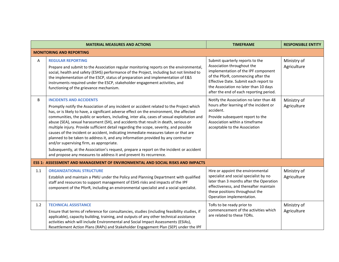|     | <b>MATERIAL MEASURES AND ACTIONS</b>                                                                                                                                                                                                                                                                                                                                                                                                                                                                                                                                                                                                                                                                                                                                                                                                                                                             | <b>TIMEFRAME</b>                                                                                                                                                                                                                                                        | <b>RESPONSIBLE ENTITY</b>  |  |
|-----|--------------------------------------------------------------------------------------------------------------------------------------------------------------------------------------------------------------------------------------------------------------------------------------------------------------------------------------------------------------------------------------------------------------------------------------------------------------------------------------------------------------------------------------------------------------------------------------------------------------------------------------------------------------------------------------------------------------------------------------------------------------------------------------------------------------------------------------------------------------------------------------------------|-------------------------------------------------------------------------------------------------------------------------------------------------------------------------------------------------------------------------------------------------------------------------|----------------------------|--|
|     | <b>MONITORING AND REPORTING</b>                                                                                                                                                                                                                                                                                                                                                                                                                                                                                                                                                                                                                                                                                                                                                                                                                                                                  |                                                                                                                                                                                                                                                                         |                            |  |
| Α   | <b>REGULAR REPORTING</b><br>Prepare and submit to the Association regular monitoring reports on the environmental,<br>social, health and safety (ESHS) performance of the Project, including but not limited to<br>the implementation of the ESCP, status of preparation and implementation of E&S<br>instruments required under the ESCP, stakeholder engagement activities, and<br>functioning of the grievance mechanism.                                                                                                                                                                                                                                                                                                                                                                                                                                                                     | Submit quarterly reports to the<br>Association throughout the<br>implementation of the IPF component<br>of the PforR, commencing after the<br>Effective Date. Submit each report to<br>the Association no later than 10 days<br>after the end of each reporting period. | Ministry of<br>Agriculture |  |
| B   | <b>INCIDENTS AND ACCIDENTS</b><br>Promptly notify the Association of any incident or accident related to the Project which<br>has, or is likely to have, a significant adverse effect on the environment, the affected<br>communities, the public or workers, including, inter alia, cases of sexual exploitation and<br>abuse (SEA), sexual harassment (SH), and accidents that result in death, serious or<br>multiple injury. Provide sufficient detail regarding the scope, severity, and possible<br>causes of the incident or accident, indicating immediate measures taken or that are<br>planned to be taken to address it, and any information provided by any contractor<br>and/or supervising firm, as appropriate.<br>Subsequently, at the Association's request, prepare a report on the incident or accident<br>and propose any measures to address it and prevent its recurrence. | Notify the Association no later than 48<br>hours after learning of the incident or<br>accident.<br>Provide subsequent report to the<br>Association within a timeframe<br>acceptable to the Association                                                                  | Ministry of<br>Agriculture |  |
|     | <b>ESS 1: ASSESSMENT AND MANAGEMENT OF ENVIRONMENTAL AND SOCIAL RISKS AND IMPACTS</b>                                                                                                                                                                                                                                                                                                                                                                                                                                                                                                                                                                                                                                                                                                                                                                                                            |                                                                                                                                                                                                                                                                         |                            |  |
| 1.1 | <b>ORGANIZATIONAL STRUCTURE</b><br>Establish and maintain a PMU under the Policy and Planning Department with qualified<br>staff and resources to support management of ESHS risks and impacts of the IPF<br>component of the PforR, including an environmental specialist and a social specialist.                                                                                                                                                                                                                                                                                                                                                                                                                                                                                                                                                                                              | Hire or appoint the environmental<br>specialist and social specialist by no<br>later than 3 months after the Operation<br>effectiveness, and thereafter maintain<br>these positions throughout the<br>Operation implementation.                                         | Ministry of<br>Agriculture |  |
| 1.2 | <b>TECHNICAL ASSISTANCE</b><br>Ensure that terms of reference for consultancies, studies (including feasibility studies, if<br>applicable), capacity building, training, and outputs of any other technical assistance<br>activities which will include Environmental and Social Impact Assessments (ESIAs),<br>Resettlement Action Plans (RAPs) and Stakeholder Engagement Plan (SEP) under the IPF                                                                                                                                                                                                                                                                                                                                                                                                                                                                                             | ToRs to be ready prior to<br>commencement of the activities which<br>are related to these TORs.                                                                                                                                                                         | Ministry of<br>Agriculture |  |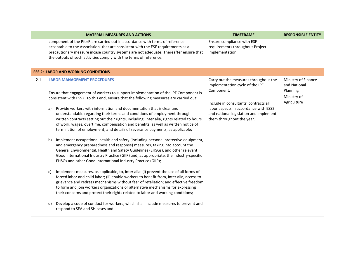|     | <b>MATERIAL MEASURES AND ACTIONS</b>                                                                                                                                                                                                                                                                                                                                                                                                                                                                                                                                                                                                                                                                                                                                                                                                                                                                                                                                                                                                                                                                                                                                                                                                                                                                                                                                                                                                                                                                                                                                                                                                                              | <b>TIMEFRAME</b>                                                                                                                                                                                                                                | <b>RESPONSIBLE ENTITY</b>                                                     |
|-----|-------------------------------------------------------------------------------------------------------------------------------------------------------------------------------------------------------------------------------------------------------------------------------------------------------------------------------------------------------------------------------------------------------------------------------------------------------------------------------------------------------------------------------------------------------------------------------------------------------------------------------------------------------------------------------------------------------------------------------------------------------------------------------------------------------------------------------------------------------------------------------------------------------------------------------------------------------------------------------------------------------------------------------------------------------------------------------------------------------------------------------------------------------------------------------------------------------------------------------------------------------------------------------------------------------------------------------------------------------------------------------------------------------------------------------------------------------------------------------------------------------------------------------------------------------------------------------------------------------------------------------------------------------------------|-------------------------------------------------------------------------------------------------------------------------------------------------------------------------------------------------------------------------------------------------|-------------------------------------------------------------------------------|
|     | component of the PforR are carried out in accordance with terms of reference<br>acceptable to the Association, that are consistent with the ESF requirements as a<br>precautionary measure incase country systems are not adequate. Thereafter ensure that<br>the outputs of such activities comply with the terms of reference.                                                                                                                                                                                                                                                                                                                                                                                                                                                                                                                                                                                                                                                                                                                                                                                                                                                                                                                                                                                                                                                                                                                                                                                                                                                                                                                                  | Ensure compliance with ESF<br>requirements throughout Project<br>implementation.                                                                                                                                                                |                                                                               |
|     | <b>ESS 2: LABOR AND WORKING CONDITIONS</b>                                                                                                                                                                                                                                                                                                                                                                                                                                                                                                                                                                                                                                                                                                                                                                                                                                                                                                                                                                                                                                                                                                                                                                                                                                                                                                                                                                                                                                                                                                                                                                                                                        |                                                                                                                                                                                                                                                 |                                                                               |
| 2.1 | <b>LABOR MANAGEMENT PROCEDURES</b><br>Ensure that engagement of workers to support implementation of the IPF Component is<br>consistent with ESS2. To this end, ensure that the following measures are carried out:<br>Provide workers with information and documentation that is clear and<br>a)<br>understandable regarding their terms and conditions of employment through<br>written contracts setting out their rights, including, inter alia, rights related to hours<br>of work, wages, overtime, compensation and benefits, as well as written notice of<br>termination of employment, and details of severance payments, as applicable;<br>Implement occupational health and safety (including personal protective equipment,<br>b)<br>and emergency preparedness and response) measures, taking into account the<br>General Environmental, Health and Safety Guidelines (EHSGs), and other relevant<br>Good International Industry Practice (GIIP) and, as appropriate, the industry-specific<br>EHSGs and other Good International Industry Practice (GIIP);<br>Implement measures, as applicable, to, inter alia: (i) prevent the use of all forms of<br>C)<br>forced labor and child labor; (ii) enable workers to benefit from, inter alia, access to<br>grievance and redress mechanisms without fear of retaliation; and effective freedom<br>to form and join workers organizations or alternative mechanisms for expressing<br>their concerns and protect their rights related to labor and working conditions;<br>Develop a code of conduct for workers, which shall include measures to prevent and<br>d)<br>respond to SEA and SH cases and | Carry out the measures throughout the<br>implementation cycle of the IPF<br>Component.<br>Include in consultants' contracts all<br>labor aspects in accordance with ESS2<br>and national legislation and implement<br>them throughout the year. | Ministry of Finance<br>and National<br>Planning<br>Ministry of<br>Agriculture |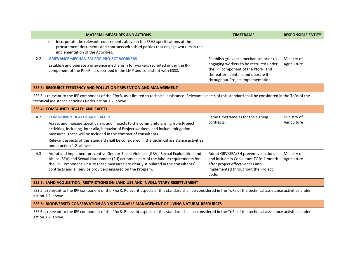|                                                                                                                                                                                                                                  | <b>MATERIAL MEASURES AND ACTIONS</b>                                                                                                                                                                                                                                                                                               | <b>TIMEFRAME</b>                                                                                                                                                 | <b>RESPONSIBLE ENTITY</b>  |
|----------------------------------------------------------------------------------------------------------------------------------------------------------------------------------------------------------------------------------|------------------------------------------------------------------------------------------------------------------------------------------------------------------------------------------------------------------------------------------------------------------------------------------------------------------------------------|------------------------------------------------------------------------------------------------------------------------------------------------------------------|----------------------------|
|                                                                                                                                                                                                                                  | Incorporate the relevant requirements above in the ESHS specifications of the<br>e)<br>procurement documents and contracts with third parties that engage workers in the<br>implementation of the Activities.                                                                                                                      |                                                                                                                                                                  |                            |
| 2.2                                                                                                                                                                                                                              | <b>GRIEVANCE MECHANISM FOR PROJECT WORKERS</b>                                                                                                                                                                                                                                                                                     | Establish grievance mechanism prior to                                                                                                                           | Ministry of                |
|                                                                                                                                                                                                                                  | Establish and operate a grievance mechanism for workers recruited under the IPF<br>component of the PforR, as described in the LMP and consistent with ESS2.                                                                                                                                                                       | engaging workers to be recruited under<br>the IPF component of the PforR, and<br>thereafter maintain and operate it<br>throughout Project implementation.        | Agriculture                |
|                                                                                                                                                                                                                                  | <b>ESS 3: RESOURCE EFFICIENCY AND POLLUTION PREVENTION AND MANAGEMENT</b>                                                                                                                                                                                                                                                          |                                                                                                                                                                  |                            |
| ESS 3 is relevant to the IPF component of the PforR, as it limited to technical assistance. Relevant aspects of this standard shall be considered in the ToRs of the<br>technical assistance activities under action 1.2. above. |                                                                                                                                                                                                                                                                                                                                    |                                                                                                                                                                  |                            |
|                                                                                                                                                                                                                                  | <b>ESS 4: COMMUNITY HEALTH AND SAFETY</b>                                                                                                                                                                                                                                                                                          |                                                                                                                                                                  |                            |
| 4.2                                                                                                                                                                                                                              | <b>COMMUNITY HEALTH AND SAFETY</b>                                                                                                                                                                                                                                                                                                 | Same timeframe as for the signing                                                                                                                                | Ministry of                |
|                                                                                                                                                                                                                                  | Assess and manage specific risks and impacts to the community arising from Project<br>activities, including, inter alia, behavior of Project workers, and include mitigation<br>measures. These will be included in the contract of consultants                                                                                    | contracts.                                                                                                                                                       | Agriculture                |
|                                                                                                                                                                                                                                  | Relevant aspects of this standard shall be considered in the technical assistance activities<br>under action 1.2. above.                                                                                                                                                                                                           |                                                                                                                                                                  |                            |
| 4.3                                                                                                                                                                                                                              | Adopt and implement preventive Gender Based Violence (GBV), Sexual Exploitation and<br>Abuse (SEA) and Sexual Harassment (SH) actions as part of the labour requirements for<br>the IPF Component. Ensure these measures are clearly stipulated in the consultants'<br>contracts and all service providers engaged on the Program. | Adopt GBV/SEA/SH preventive actions<br>and include in Consultant TORs 1 month<br>after project effectiveness and<br>implemented throughout the Project<br>cycle. | Ministry of<br>Agriculture |
|                                                                                                                                                                                                                                  | ESS 5: LAND ACQUISITION, RESTRICTIONS ON LAND USE AND INVOLUNTARY RESETTLEMENT                                                                                                                                                                                                                                                     |                                                                                                                                                                  |                            |
| ESS 5 is relevant to the IPF component of the PforR. Relevant aspects of this standard shall be considered in the ToRs of the technical assistance activities under<br>action 1.2. above.                                        |                                                                                                                                                                                                                                                                                                                                    |                                                                                                                                                                  |                            |
| ESS 6: BIODIVERSITY CONSERVATION AND SUSTAINABLE MANAGEMENT OF LIVING NATURAL RESOURCES                                                                                                                                          |                                                                                                                                                                                                                                                                                                                                    |                                                                                                                                                                  |                            |
| ESS 6 is relevant to the IPF component of the PforR. Relevant aspects of this standard shall be considered in the ToRs of the technical assistance activities under<br>action 1.2. above.                                        |                                                                                                                                                                                                                                                                                                                                    |                                                                                                                                                                  |                            |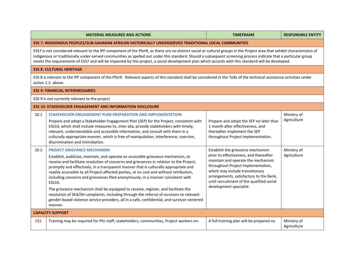|                                                                                                                                                                                                                                                                                                                                                                                                                                                                                                    | <b>MATERIAL MEASURES AND ACTIONS</b>                                                                                                                                                                                                                                                                                                                                                                                                                                                                                                                                                                                                                                                                                                                                                             | <b>TIMEFRAME</b>                                                                                                                                                                                                                                                                                              | <b>RESPONSIBLE ENTITY</b>  |
|----------------------------------------------------------------------------------------------------------------------------------------------------------------------------------------------------------------------------------------------------------------------------------------------------------------------------------------------------------------------------------------------------------------------------------------------------------------------------------------------------|--------------------------------------------------------------------------------------------------------------------------------------------------------------------------------------------------------------------------------------------------------------------------------------------------------------------------------------------------------------------------------------------------------------------------------------------------------------------------------------------------------------------------------------------------------------------------------------------------------------------------------------------------------------------------------------------------------------------------------------------------------------------------------------------------|---------------------------------------------------------------------------------------------------------------------------------------------------------------------------------------------------------------------------------------------------------------------------------------------------------------|----------------------------|
| ESS 7: INDIGENOUS PEOPLES/SUB-SAHARAN AFRICAN HISTORICALLY UNDERSERVED TRADITIONAL LOCAL COMMUNITIES                                                                                                                                                                                                                                                                                                                                                                                               |                                                                                                                                                                                                                                                                                                                                                                                                                                                                                                                                                                                                                                                                                                                                                                                                  |                                                                                                                                                                                                                                                                                                               |                            |
| ESS7 is not considered relevant to the IPF component of the PforR, as there are no distinct social or cultural groups in the Project area that exhibit characteristics of<br>indigenous or traditionally under-served communities as spelled out under this standard. Should a subsequent screening process indicate that a particular group<br>meets the requirements of ESS7 and will be impacted by this project, a social development plan which accords with this standard will be developed. |                                                                                                                                                                                                                                                                                                                                                                                                                                                                                                                                                                                                                                                                                                                                                                                                  |                                                                                                                                                                                                                                                                                                               |                            |
|                                                                                                                                                                                                                                                                                                                                                                                                                                                                                                    | <b>ESS 8: CULTURAL HERITAGE</b>                                                                                                                                                                                                                                                                                                                                                                                                                                                                                                                                                                                                                                                                                                                                                                  |                                                                                                                                                                                                                                                                                                               |                            |
| ESS 8 is relevant to the IPF component of the PforR. Relevant aspects of this standard shall be considered in the ToRs of the technical assistance activities under<br>action 1.2. above.                                                                                                                                                                                                                                                                                                          |                                                                                                                                                                                                                                                                                                                                                                                                                                                                                                                                                                                                                                                                                                                                                                                                  |                                                                                                                                                                                                                                                                                                               |                            |
|                                                                                                                                                                                                                                                                                                                                                                                                                                                                                                    | <b>ESS 9: FINANCIAL INTERMEDIARIES</b>                                                                                                                                                                                                                                                                                                                                                                                                                                                                                                                                                                                                                                                                                                                                                           |                                                                                                                                                                                                                                                                                                               |                            |
| ESS 9 is not currently relevant to the project                                                                                                                                                                                                                                                                                                                                                                                                                                                     |                                                                                                                                                                                                                                                                                                                                                                                                                                                                                                                                                                                                                                                                                                                                                                                                  |                                                                                                                                                                                                                                                                                                               |                            |
| <b>ESS 10: STAKEHOLDER ENGAGEMENT AND INFORMATION DISCLOSURE</b>                                                                                                                                                                                                                                                                                                                                                                                                                                   |                                                                                                                                                                                                                                                                                                                                                                                                                                                                                                                                                                                                                                                                                                                                                                                                  |                                                                                                                                                                                                                                                                                                               |                            |
| 10.1                                                                                                                                                                                                                                                                                                                                                                                                                                                                                               | STAKEHOLDER ENGAGEMENT PLAN PREPARATION AND IMPLEMENTATION<br>Prepare and adopt a Stakeholder Engagement Plan (SEP) for the Project, consistent with<br>ESS10, which shall include measures to, inter alia, provide stakeholders with timely,<br>relevant, understandable and accessible information, and consult with them in a<br>culturally appropriate manner, which is free of manipulation, interference, coercion,<br>discrimination and intimidation.                                                                                                                                                                                                                                                                                                                                    | Prepare and adopt the SEP no later than<br>1 month after effectiveness, and<br>thereafter implement the SEP<br>throughout Project implementation.                                                                                                                                                             | Ministry of<br>Agriculture |
| 10.2                                                                                                                                                                                                                                                                                                                                                                                                                                                                                               | <b>PROJECT GRIEVANCE MECHANISM</b><br>Establish, publicize, maintain, and operate an accessible grievance mechanism, to<br>receive and facilitate resolution of concerns and grievances in relation to the Project,<br>promptly and effectively, in a transparent manner that is culturally appropriate and<br>readily accessible to all Project-affected parties, at no cost and without retribution,<br>including concerns and grievances filed anonymously, in a manner consistent with<br>ESS10.<br>The grievance mechanism shall be equipped to receive, register, and facilitate the<br>resolution of SEA/SH complaints, including through the referral of survivors to relevant<br>gender-based violence service providers, all in a safe, confidential, and survivor-centered<br>manner. | Establish the grievance mechanism<br>prior to effectiveness, and thereafter<br>maintain and operate the mechanism<br>throughout Project implementation,<br>which may include transitionary<br>arrangements, satisfactory to the Bank,<br>until recruitment of the qualified social<br>development specialist. | Ministry of<br>Agriculture |
| <b>CAPACITY SUPPORT</b>                                                                                                                                                                                                                                                                                                                                                                                                                                                                            |                                                                                                                                                                                                                                                                                                                                                                                                                                                                                                                                                                                                                                                                                                                                                                                                  |                                                                                                                                                                                                                                                                                                               |                            |
| CS <sub>1</sub>                                                                                                                                                                                                                                                                                                                                                                                                                                                                                    | Training may be required for PIU staff, stakeholders, communities, Project workers on:                                                                                                                                                                                                                                                                                                                                                                                                                                                                                                                                                                                                                                                                                                           | A full training plan will be prepared no                                                                                                                                                                                                                                                                      | Ministry of<br>Agriculture |